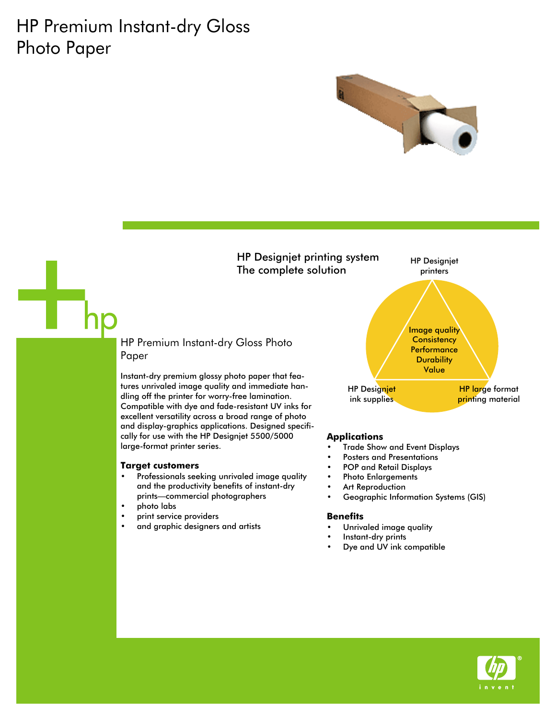# HP Premium Instant-dry Gloss Photo Paper